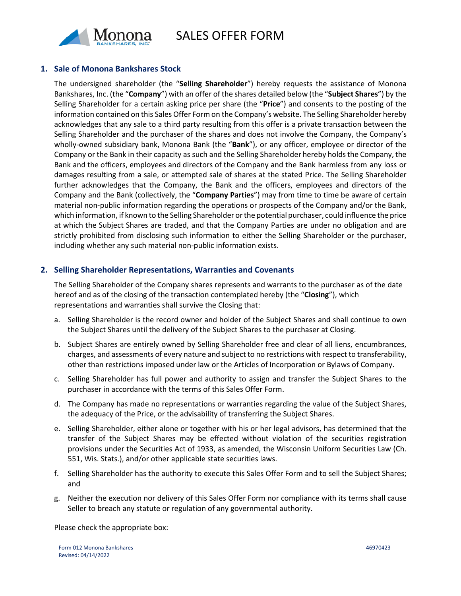

SALES OFFER FORM

## **1. Sale of Monona Bankshares Stock**

The undersigned shareholder (the "**Selling Shareholder**") hereby requests the assistance of Monona Bankshares, Inc. (the "**Company**") with an offer of the shares detailed below (the "**Subject Shares**") by the Selling Shareholder for a certain asking price per share (the "**Price**") and consents to the posting of the information contained on this Sales Offer Form on the Company's website. The Selling Shareholder hereby acknowledges that any sale to a third party resulting from this offer is a private transaction between the Selling Shareholder and the purchaser of the shares and does not involve the Company, the Company's wholly-owned subsidiary bank, Monona Bank (the "**Bank**"), or any officer, employee or director of the Company or the Bank in their capacity as such and the Selling Shareholder hereby holds the Company, the Bank and the officers, employees and directors of the Company and the Bank harmless from any loss or damages resulting from a sale, or attempted sale of shares at the stated Price. The Selling Shareholder further acknowledges that the Company, the Bank and the officers, employees and directors of the Company and the Bank (collectively, the "**Company Parties**") may from time to time be aware of certain material non-public information regarding the operations or prospects of the Company and/or the Bank, which information, if known to the Selling Shareholder orthe potential purchaser, could influence the price at which the Subject Shares are traded, and that the Company Parties are under no obligation and are strictly prohibited from disclosing such information to either the Selling Shareholder or the purchaser, including whether any such material non-public information exists.

## **2. Selling Shareholder Representations, Warranties and Covenants**

The Selling Shareholder of the Company shares represents and warrants to the purchaser as of the date hereof and as of the closing of the transaction contemplated hereby (the "**Closing**"), which representations and warranties shall survive the Closing that:

- a. Selling Shareholder is the record owner and holder of the Subject Shares and shall continue to own the Subject Shares until the delivery of the Subject Shares to the purchaser at Closing.
- b. Subject Shares are entirely owned by Selling Shareholder free and clear of all liens, encumbrances, charges, and assessments of every nature and subject to no restrictions with respect to transferability, other than restrictions imposed under law or the Articles of Incorporation or Bylaws of Company.
- c. Selling Shareholder has full power and authority to assign and transfer the Subject Shares to the purchaser in accordance with the terms of this Sales Offer Form.
- d. The Company has made no representations or warranties regarding the value of the Subject Shares, the adequacy of the Price, or the advisability of transferring the Subject Shares.
- e. Selling Shareholder, either alone or together with his or her legal advisors, has determined that the transfer of the Subject Shares may be effected without violation of the securities registration provisions under the Securities Act of 1933, as amended, the Wisconsin Uniform Securities Law (Ch. 551, Wis. Stats.), and/or other applicable state securities laws.
- f. Selling Shareholder has the authority to execute this Sales Offer Form and to sell the Subject Shares; and
- g. Neither the execution nor delivery of this Sales Offer Form nor compliance with its terms shall cause Seller to breach any statute or regulation of any governmental authority.

Please check the appropriate box: